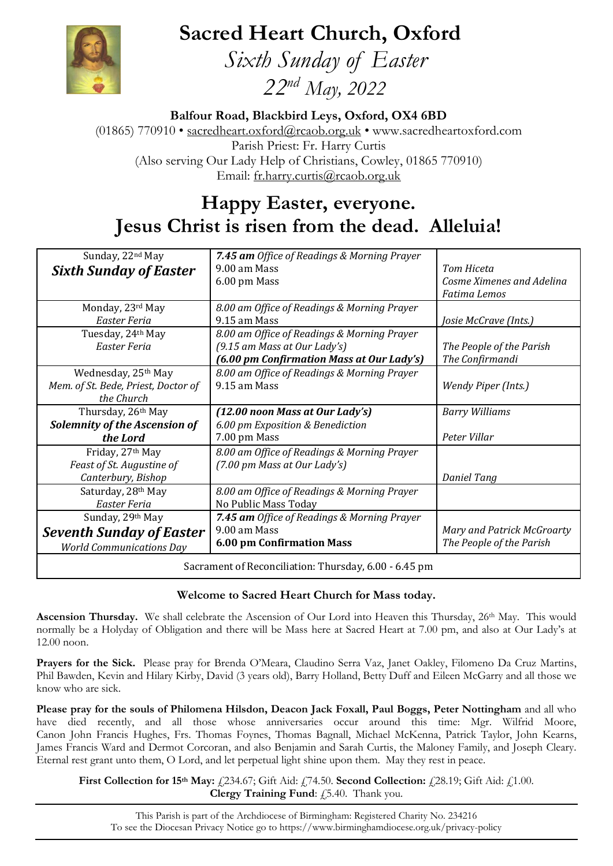**Sacred Heart Church, Oxford**



 *Sixth Sunday of Easter 22nd May, 2022*

**Balfour Road, Blackbird Leys, Oxford, OX4 6BD**

(01865) 770910 • [sacredheart.oxford@rcaob.org.uk](mailto:sacredheart.oxford@rcaob.org.uk) • www.sacredheartoxford.com Parish Priest: Fr. Harry Curtis (Also serving Our Lady Help of Christians, Cowley, 01865 770910) Email: [fr.harry.curtis@rcaob.org.uk](mailto:fr.harry.curtis@rcaob.org.uk)

# **Happy Easter, everyone. Jesus Christ is risen from the dead. Alleluia!**

| Sunday, 22nd May                                      | 7.45 am Office of Readings & Morning Prayer |                            |
|-------------------------------------------------------|---------------------------------------------|----------------------------|
| <b>Sixth Sunday of Easter</b>                         | 9.00 am Mass                                | Tom Hiceta                 |
|                                                       | 6.00 pm Mass                                | Cosme Ximenes and Adelina  |
|                                                       |                                             | <b>Fatima Lemos</b>        |
| Monday, 23rd May                                      | 8.00 am Office of Readings & Morning Prayer |                            |
| Easter Feria                                          | 9.15 am Mass                                | Josie McCrave (Ints.)      |
| Tuesday, 24th May                                     | 8.00 am Office of Readings & Morning Prayer |                            |
| Easter Feria                                          | (9.15 am Mass at Our Lady's)                | The People of the Parish   |
|                                                       | (6.00 pm Confirmation Mass at Our Lady's)   | The Confirmandi            |
| Wednesday, 25 <sup>th</sup> May                       | 8.00 am Office of Readings & Morning Prayer |                            |
| Mem. of St. Bede, Priest, Doctor of                   | 9.15 am Mass                                | Wendy Piper (Ints.)        |
| the Church                                            |                                             |                            |
| Thursday, 26th May                                    | (12.00 noon Mass at Our Lady's)             | <b>Barry Williams</b>      |
| <b>Solemnity of the Ascension of</b>                  | 6.00 pm Exposition & Benediction            |                            |
| the Lord                                              | 7.00 pm Mass                                | Peter Villar               |
| Friday, 27th May                                      | 8.00 am Office of Readings & Morning Prayer |                            |
| Feast of St. Augustine of                             | (7.00 pm Mass at Our Lady's)                |                            |
| Canterbury, Bishop                                    |                                             | <b>Daniel Tang</b>         |
| Saturday, 28th May                                    | 8.00 am Office of Readings & Morning Prayer |                            |
| Easter Feria                                          | No Public Mass Today                        |                            |
| Sunday, 29th May                                      | 7.45 am Office of Readings & Morning Prayer |                            |
| <b>Seventh Sunday of Easter</b>                       | 9.00 am Mass                                | Mary and Patrick McGroarty |
| <b>World Communications Day</b>                       | <b>6.00 pm Confirmation Mass</b>            | The People of the Parish   |
| Sacrament of Reconciliation: Thursday, 6.00 - 6.45 pm |                                             |                            |

## **Welcome to Sacred Heart Church for Mass today.**

**Ascension Thursday.** We shall celebrate the Ascension of Our Lord into Heaven this Thursday, 26<sup>th</sup> May. This would normally be a Holyday of Obligation and there will be Mass here at Sacred Heart at 7.00 pm, and also at Our Lady's at 12.00 noon.

**Prayers for the Sick.** Please pray for Brenda O'Meara, Claudino Serra Vaz, Janet Oakley, Filomeno Da Cruz Martins, Phil Bawden, Kevin and Hilary Kirby, David (3 years old), Barry Holland, Betty Duff and Eileen McGarry and all those we know who are sick.

**Please pray for the souls of Philomena Hilsdon, Deacon Jack Foxall, Paul Boggs, Peter Nottingham** and all who have died recently, and all those whose anniversaries occur around this time: Mgr. Wilfrid Moore, Canon John Francis Hughes, Frs. Thomas Foynes, Thomas Bagnall, Michael McKenna, Patrick Taylor, John Kearns, James Francis Ward and Dermot Corcoran, and also Benjamin and Sarah Curtis, the Maloney Family, and Joseph Cleary. Eternal rest grant unto them, O Lord, and let perpetual light shine upon them. May they rest in peace.

**First Collection for 15<sup>th</sup> May:** £234.67; Gift Aid: £74.50. **Second Collection:** £28.19; Gift Aid: £1.00. **Clergy Training Fund:** £5.40. Thank you.

This Parish is part of the Archdiocese of Birmingham: Registered Charity No. 234216 To see the Diocesan Privacy Notice go to<https://www.birminghamdiocese.org.uk/privacy-policy>